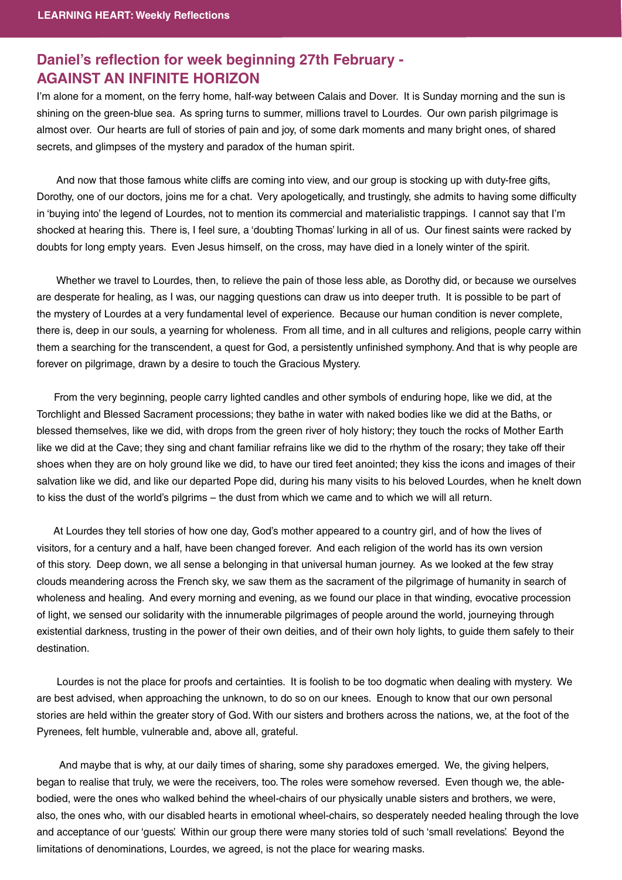## **Daniel's reflection for week beginning 27th February -<br>AGAINST AN INFINITE HORIZON**

I'm alone for a moment, on the ferry home, half-way between Calais and Dover. It is Sunday morning and the sun is shining on the green-blue sea. As spring turns to summer, millions travel to Lourdes. Our own parish pilgrimage is almost over. Our hearts are full of stories of pain and joy, of some dark moments and many bright ones, of shared secrets, and glimpses of the mystery and paradox of the human spirit.

 And now that those famous white cliffs are coming into view, and our group is stocking up with duty-free gifts, Dorothy, one of our doctors, joins me for a chat. Very apologetically, and trustingly, she admits to having some difficulty in 'buying into' the legend of Lourdes, not to mention its commercial and materialistic trappings. I cannot say that I'm shocked at hearing this. There is, I feel sure, a 'doubting Thomas' lurking in all of us. Our finest saints were racked by doubts for long empty years. Even Jesus himself, on the cross, may have died in a lonely winter of the spirit.

 Whether we travel to Lourdes, then, to relieve the pain of those less able, as Dorothy did, or because we ourselves are desperate for healing, as I was, our nagging questions can draw us into deeper truth. It is possible to be part of the mystery of Lourdes at a very fundamental level of experience. Because our human condition is never complete, there is, deep in our souls, a yearning for wholeness. From all time, and in all cultures and religions, people carry within them a searching for the transcendent, a quest for God, a persistently unfinished symphony. And that is why people are forever on pilgrimage, drawn by a desire to touch the Gracious Mystery.

 From the very beginning, people carry lighted candles and other symbols of enduring hope, like we did, at the Torchlight and Blessed Sacrament processions; they bathe in water with naked bodies like we did at the Baths, or blessed themselves, like we did, with drops from the green river of holy history; they touch the rocks of Mother Earth like we did at the Cave; they sing and chant familiar refrains like we did to the rhythm of the rosary; they take off their shoes when they are on holy ground like we did, to have our tired feet anointed; they kiss the icons and images of their salvation like we did, and like our departed Pope did, during his many visits to his beloved Lourdes, when he knelt down to kiss the dust of the world's pilgrims – the dust from which we came and to which we will all return.

 At Lourdes they tell stories of how one day, God's mother appeared to a country girl, and of how the lives of visitors, for a century and a half, have been changed forever. And each religion of the world has its own version of this story. Deep down, we all sense a belonging in that universal human journey. As we looked at the few stray clouds meandering across the French sky, we saw them as the sacrament of the pilgrimage of humanity in search of wholeness and healing. And every morning and evening, as we found our place in that winding, evocative procession of light, we sensed our solidarity with the innumerable pilgrimages of people around the world, journeying through existential darkness, trusting in the power of their own deities, and of their own holy lights, to guide them safely to their destination.

 Lourdes is not the place for proofs and certainties. It is foolish to be too dogmatic when dealing with mystery. We are best advised, when approaching the unknown, to do so on our knees. Enough to know that our own personal stories are held within the greater story of God. With our sisters and brothers across the nations, we, at the foot of the Pyrenees, felt humble, vulnerable and, above all, grateful.

 And maybe that is why, at our daily times of sharing, some shy paradoxes emerged. We, the giving helpers, began to realise that truly, we were the receivers, too. The roles were somehow reversed. Even though we, the ablebodied, were the ones who walked behind the wheel-chairs of our physically unable sisters and brothers, we were, also, the ones who, with our disabled hearts in emotional wheel-chairs, so desperately needed healing through the love and acceptance of our 'guests'. Within our group there were many stories told of such 'small revelations'. Beyond the limitations of denominations, Lourdes, we agreed, is not the place for wearing masks.